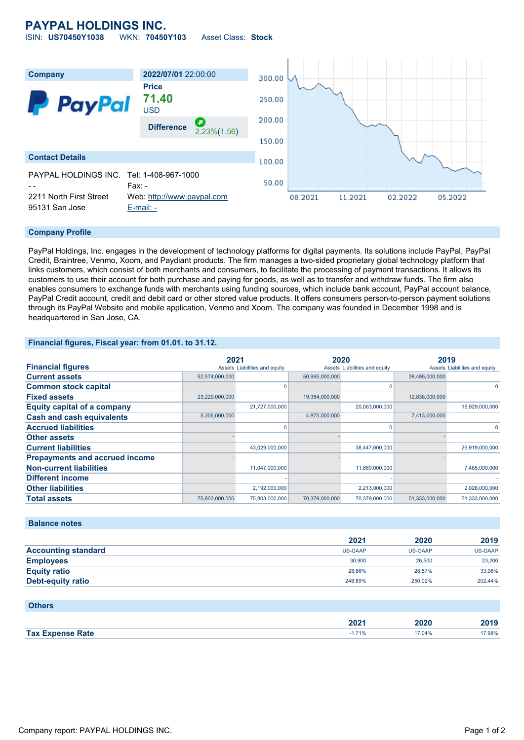# **PAYPAL HOLDINGS INC.**



## **Company Profile**

95131 San Jose [E-mail: -](mailto:-)

PayPal Holdings, Inc. engages in the development of technology platforms for digital payments. Its solutions include PayPal, PayPal Credit, Braintree, Venmo, Xoom, and Paydiant products. The firm manages a two-sided proprietary global technology platform that links customers, which consist of both merchants and consumers, to facilitate the processing of payment transactions. It allows its customers to use their account for both purchase and paying for goods, as well as to transfer and withdraw funds. The firm also enables consumers to exchange funds with merchants using funding sources, which include bank account, PayPal account balance, PayPal Credit account, credit and debit card or other stored value products. It offers consumers person-to-person payment solutions through its PayPal Website and mobile application, Venmo and Xoom. The company was founded in December 1998 and is headquartered in San Jose, CA.

50.00

08.2021

11.2021

02.2022

05.2022

### **Financial figures, Fiscal year: from 01.01. to 31.12.**

- - Fax: - 2211 North First Street Web: [http://www.paypal.com](http://www.paypal.com/)

|                                       | 2021           |                               | 2020                          |                | 2019                          |                |
|---------------------------------------|----------------|-------------------------------|-------------------------------|----------------|-------------------------------|----------------|
| <b>Financial figures</b>              |                | Assets Liabilities and equity | Assets Liabilities and equity |                | Assets Liabilities and equity |                |
| <b>Current assets</b>                 | 52,574,000,000 |                               | 50,995,000,000                |                | 38,495,000,000                |                |
| <b>Common stock capital</b>           |                |                               |                               |                |                               |                |
| <b>Fixed assets</b>                   | 23,229,000,000 |                               | 19,384,000,000                |                | 12,838,000,000                |                |
| <b>Equity capital of a company</b>    |                | 21,727,000,000                |                               | 20,063,000,000 |                               | 16,929,000,000 |
| <b>Cash and cash equivalents</b>      | 5,306,000,000  |                               | 4,875,000,000                 |                | 7,413,000,000                 |                |
| <b>Accrued liabilities</b>            |                |                               |                               |                |                               | 0              |
| <b>Other assets</b>                   |                |                               |                               |                |                               |                |
| <b>Current liabilities</b>            |                | 43,029,000,000                |                               | 38,447,000,000 |                               | 26,919,000,000 |
| <b>Prepayments and accrued income</b> |                |                               |                               |                |                               |                |
| <b>Non-current liabilities</b>        |                | 11,047,000,000                |                               | 11,869,000,000 |                               | 7,485,000,000  |
| <b>Different income</b>               |                |                               |                               |                |                               |                |
| <b>Other liabilities</b>              |                | 2,192,000,000                 |                               | 2,213,000,000  |                               | 2,028,000,000  |
| <b>Total assets</b>                   | 75,803,000,000 | 75,803,000,000                | 70,379,000,000                | 70,379,000,000 | 51,333,000,000                | 51,333,000,000 |

## **Balance notes**

|                            | 2021           | 2020           | 2019    |
|----------------------------|----------------|----------------|---------|
| <b>Accounting standard</b> | <b>US-GAAP</b> | <b>US-GAAP</b> | US-GAAP |
| <b>Employees</b>           | 30,900         | 26,500         | 23,200  |
| <b>Equity ratio</b>        | 28.66%         | 28.57%         | 33.06%  |
| Debt-equity ratio          | 248.89%        | 250.02%        | 202.44% |

#### **Others**

|                         | 2021<br>______ | חרחכ<br>2020 | 2019  |
|-------------------------|----------------|--------------|-------|
| <b>Tax Expense Rate</b> | 7.40           | '7.04%       | 7.98% |